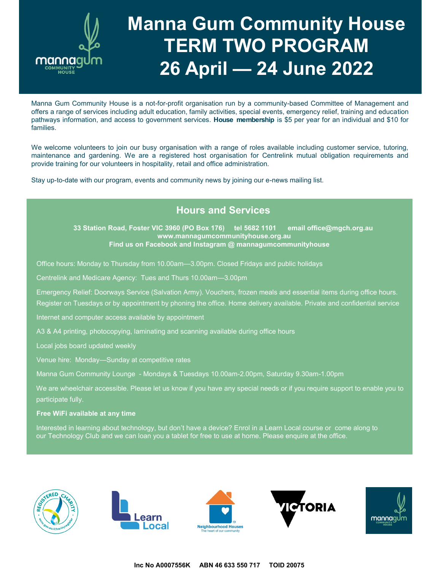

# **Manna Gum Community House TERM TWO PROGRAM 26 April — 24 June 2022**

Manna Gum Community House is a not-for-profit organisation run by a community-based Committee of Management and offers a range of services including adult education, family activities, special events, emergency relief, training and education pathways information, and access to government services. **House membership** is \$5 per year for an individual and \$10 for families.

We welcome volunteers to join our busy organisation with a range of roles available including customer service, tutoring, maintenance and gardening. We are a registered host organisation for Centrelink mutual obligation requirements and provide training for our volunteers in hospitality, retail and office administration.

Stay up-to-date with our program, events and community news by joining our e-news mailing list.

### **Hours and Services**

**33 Station Road, Foster VIC 3960 (PO Box 176) tel 5682 1101 email office@mgch.org.au www.mannagumcommunityhouse.org.au Find us on Facebook and Instagram @ mannagumcommunityhouse**

Office hours: Monday to Thursday from 10.00am—3.00pm. Closed Fridays and public holidays

Centrelink and Medicare Agency: Tues and Thurs 10.00am—3.00pm

Emergency Relief: Doorways Service (Salvation Army). Vouchers, frozen meals and essential items during office hours. Register on Tuesdays or by appointment by phoning the office. Home delivery available. Private and confidential service

Internet and computer access available by appointment

A3 & A4 printing, photocopying, laminating and scanning available during office hours

Local jobs board updated weekly

Venue hire: Monday—Sunday at competitive rates

Manna Gum Community Lounge - Mondays & Tuesdays 10.00am-2.00pm, Saturday 9.30am-1.00pm

We are wheelchair accessible. Please let us know if you have any special needs or if you require support to enable you to participate fully.

**Free WiFi available at any time**

Interested in learning about technology, but don't have a device? Enrol in a Learn Local course or come along to our Technology Club and we can loan you a tablet for free to use at home. Please enquire at the office.









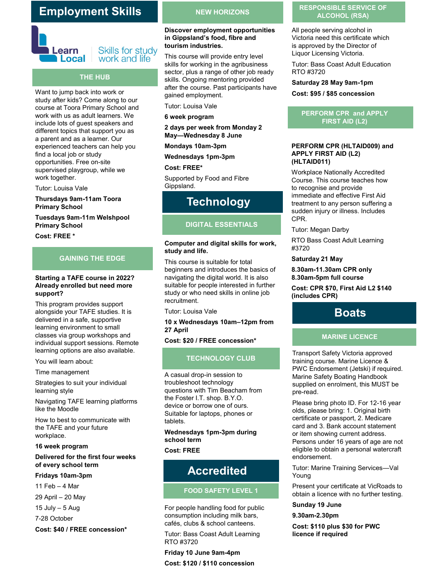### **Employment Skills**



#### **Skills for study** work and life

#### **THE HUB**

Want to jump back into work or study after kids? Come along to our course at Toora Primary School and work with us as adult learners. We include lots of guest speakers and different topics that support you as a parent and as a learner. Our experienced teachers can help you find a local job or study opportunities. Free on-site supervised playgroup, while we work together.

Tutor: Louisa Vale

**Thursdays 9am-11am Toora Primary School**

**Tuesdays 9am-11m Welshpool Primary School**

**Cost: FREE \***

#### **GAINING THE EDGE**

#### **Starting a TAFE course in 2022? Already enrolled but need more support?**

This program provides support alongside your TAFE studies. It is delivered in a safe, supportive learning environment to small classes via group workshops and individual support sessions. Remote learning options are also available.

You will learn about:

Time management

Strategies to suit your individual learning style

Navigating TAFE learning platforms like the Moodle

How to best to communicate with the TAFE and your future workplace.

#### **16 week program**

#### **Delivered for the first four weeks of every school term**

#### **Fridays 10am-3pm**

11 Feb – 4 Mar

- 29 April 20 May
- $15$  July  $-5$  Aug

7-28 October

**Cost: \$40 / FREE concession\***

#### **NEW HORIZONS**

#### **Discover employment opportunities in Gippsland's food, fibre and tourism industries.**

This course will provide entry level skills for working in the agribusiness sector, plus a range of other job ready skills. Ongoing mentoring provided after the course. Past participants have gained employment.

Tutor: Louisa Vale

**6 week program**

**2 days per week from Monday 2 May—Wednesday 8 June**

**Mondays 10am-3pm**

**Wednesdays 1pm-3pm**

**Cost: FREE\***

Supported by Food and Fibre Gippsland.

### **Technology**

#### **DIGITAL ESSENTIALS**

#### **Computer and digital skills for work, study and life.**

This course is suitable for total beginners and introduces the basics of navigating the digital world. It is also suitable for people interested in further study or who need skills in online job recruitment.

Tutor: Louisa Vale

#### **10 x Wednesdays 10am–12pm from 27 April**

#### **Cost: \$20 / FREE concession\***

#### **TECHNOLOGY CLUB**

A casual drop-in session to troubleshoot technology questions with Tim Beacham from the Foster I.T. shop. B.Y.O. device or borrow one of ours. Suitable for laptops, phones or tablets.

### **Wednesdays 1pm-3pm during school term**

**Cost: FREE**

### **Accredited**

#### **FOOD SAFETY LEVEL 1**

For people handling food for public consumption including milk bars, cafés, clubs & school canteens.

Tutor: Bass Coast Adult Learning RTO #3720

**Friday 10 June 9am-4pm Cost: \$120 / \$110 concession**

#### **RESPONSIBLE SERVICE OF ALCOHOL (RSA)**

All people serving alcohol in Victoria need this certificate which is approved by the Director of Liquor Licensing Victoria.

Tutor: Bass Coast Adult Education RTO #3720

**Saturday 28 May 9am-1pm Cost: \$95 / \$85 concession**

#### **PERFORM CPR and APPLY FIRST AID (L2)**

#### **PERFORM CPR (HLTAID009) and APPLY FIRST AID (L2) (HLTAID011)**

Workplace Nationally Accredited Course. This course teaches how to recognise and provide immediate and effective First Aid treatment to any person suffering a sudden injury or illness. Includes CPR.

Tutor: Megan Darby

RTO Bass Coast Adult Learning #3720

#### **Saturday 21 May**

#### **8.30am-11.30am CPR only 8.30am-5pm full course**

**Cost: CPR \$70, First Aid L2 \$140 (includes CPR)**

### **Boats**

#### **MARINE LICENCE**

Transport Safety Victoria approved training course. Marine Licence & PWC Endorsement (Jetski) if required. Marine Safety Boating Handbook supplied on enrolment, this MUST be pre-read.

Please bring photo ID. For 12-16 year olds, please bring: 1. Original birth certificate or passport, 2. Medicare card and 3. Bank account statement or item showing current address. Persons under 16 years of age are not eligible to obtain a personal watercraft endorsement.

Tutor: Marine Training Services—Val Young

Present your certificate at VicRoads to obtain a licence with no further testing.

#### **Sunday 19 June**

**9.30am-2.30pm** 

**Cost: \$110 plus \$30 for PWC licence if required**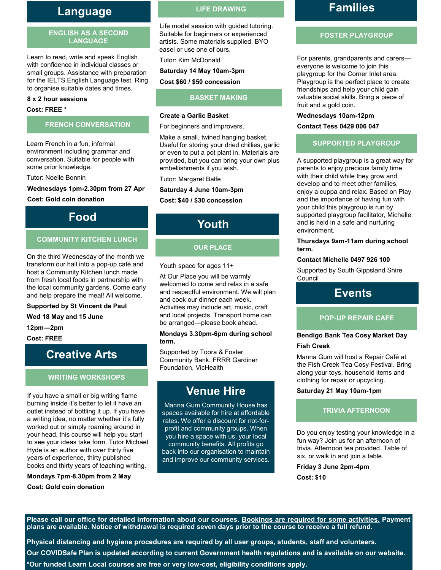### **Language LIFE DRAWING**

#### **ENGLISH AS A SECOND LANGUAGE**

Learn to read, write and speak English with confidence in individual classes or small groups. Assistance with preparation for the IELTS English Language test. Ring to organise suitable dates and times.

#### **8 x 2 hour sessions**

#### **Cost: FREE \***

#### **FRENCH CONVERSATION**

Learn French in a fun, informal environment including grammar and conversation. Suitable for people with some prior knowledge.

Tutor: Noelle Bonnin

#### **Wednesdays 1pm-2.30pm from 27 Apr**

**Cost: Gold coin donation**

### **Food**

#### **COMMUNITY KITCHEN LUNCH**

On the third Wednesday of the month we transform our hall into a pop-up café and host a Community Kitchen lunch made from fresh local foods in partnership with the local community gardens. Come early and help prepare the meal! All welcome.

**Supported by St Vincent de Paul**

**Wed 18 May and 15 June** 

**12pm—2pm** 

**Cost: FREE**

### **Creative Arts**

#### **WRITING WORKSHOPS**

If you have a small or big writing flame burning inside it's better to let it have an outlet instead of bottling it up. If you have a writing idea, no matter whether it's fully worked out or simply roaming around in your head, this course will help you start to see your ideas take form. Tutor Michael Hyde is an author with over thirty five years of experience, thirty published books and thirty years of teaching writing.

**Mondays 7pm-8.30pm from 2 May Cost: Gold coin donation**

Life model session with guided tutoring. Suitable for beginners or experienced artists. Some materials supplied. BYO easel or use one of ours.

Tutor: Kim McDonald

#### **Saturday 14 May 10am-3pm**

**Cost \$60 / \$50 concession**

#### **BASKET MAKING**

#### **Create a Garlic Basket**

For beginners and improvers.

Make a small, twined hanging basket. Useful for storing your dried chillies, garlic or even to put a pot plant in. Materials are provided, but you can bring your own plus embellishments if you wish.

Tutor: Margaret Balfe

#### **Saturday 4 June 10am-3pm**

#### **Cost: \$40 / \$30 concession**

**Youth**

#### **OUR PLACE**

Youth space for ages 11+

At Our Place you will be warmly welcomed to come and relax in a safe and respectful environment. We will plan and cook our dinner each week. Activities may include art, music, craft and local projects. Transport home can be arranged—please book ahead.

#### **Mondays 3.30pm-6pm during school term.**

Supported by Toora & Foster Community Bank, FRRR Gardiner Foundation, VicHealth

### **Venue Hire**

Manna Gum Community House has spaces available for hire at affordable rates. We offer a discount for not-forprofit and community groups. When you hire a space with us, your local community benefits. All profits go back into our organisation to maintain and improve our community services.

### **Families**

#### **FOSTER PLAYGROUP**

For parents, grandparents and carers everyone is welcome to join this playgroup for the Corner Inlet area. Playgroup is the perfect place to create friendships and help your child gain valuable social skills. Bring a piece of fruit and a gold coin.

#### **Wednesdays 10am-12pm**

#### **Contact Tess 0429 006 047**

#### **SUPPORTED PLAYGROUP**

A supported playgroup is a great way for parents to enjoy precious family time with their child while they grow and develop and to meet other families, enjoy a cuppa and relax. Based on Play and the importance of having fun with your child this playgroup is run by supported playgroup facilitator, Michelle and is held in a safe and nurturing environment.

#### **Thursdays 9am-11am during school term.**

#### **Contact Michelle 0497 926 100**

Supported by South Gippsland Shire Council

### **Events**

#### **POP-UP REPAIR CAFE**

#### **Bendigo Bank Tea Cosy Market Day Fish Creek**

Manna Gum will host a Repair Café at the Fish Creek Tea Cosy Festival. Bring along your toys, household items and clothing for repair or upcycling.

**Saturday 21 May 10am-1pm**

#### **TRIVIA AFTERNOON**

Do you enjoy testing your knowledge in a fun way? Join us for an afternoon of trivia. Afternoon tea provided. Table of six, or walk in and join a table.

**Friday 3 June 2pm-4pm Cost: \$10**

**Please call our office for detailed information about our courses. Bookings are required for some activities. Payment plans are available. Notice of withdrawal is required seven days prior to the course to receive a full refund.** 

**Physical distancing and hygiene procedures are required by all user groups, students, staff and volunteers. Our COVIDSafe Plan is updated according to current Government health regulations and is available on our website. \*Our funded Learn Local courses are free or very low-cost, eligibility conditions apply.**